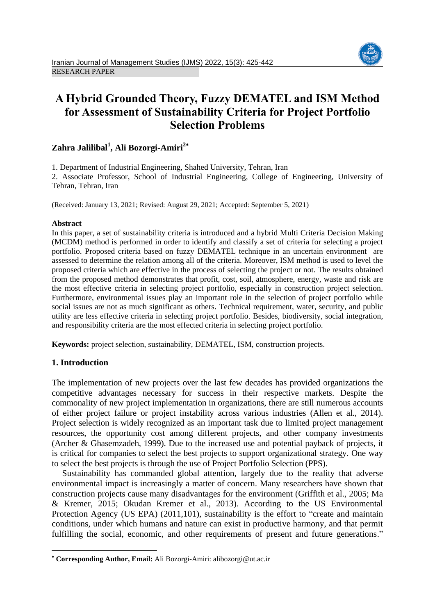# **A Hybrid Grounded Theory, Fuzzy DEMATEL and ISM Method for Assessment of Sustainability Criteria for Project Portfolio Selection Problems**

# **Zahra Jalilibal<sup>1</sup> , Ali Bozorgi-Amiri<sup>2</sup>**

1. Department of Industrial Engineering, Shahed University, Tehran, Iran

2. Associate Professor, School of Industrial Engineering, College of Engineering, University of Tehran, Tehran, Iran

(Received: January 13, 2021; Revised: August 29, 2021; Accepted: September 5, 2021)

## **Abstract**

In this paper, a set of sustainability criteria is introduced and a hybrid Multi Criteria Decision Making (MCDM) method is performed in order to identify and classify a set of criteria for selecting a project portfolio. Proposed criteria based on fuzzy DEMATEL technique in an uncertain environment are assessed to determine the relation among all of the criteria. Moreover, ISM method is used to level the proposed criteria which are effective in the process of selecting the project or not. The results obtained from the proposed method demonstrates that profit, cost, soil, atmosphere, energy, waste and risk are the most effective criteria in selecting project portfolio, especially in construction project selection. Furthermore, environmental issues play an important role in the selection of project portfolio while social issues are not as much significant as others. Technical requirement, water, security, and public utility are less effective criteria in selecting project portfolio. Besides, biodiversity, social integration, and responsibility criteria are the most effected criteria in selecting project portfolio.

**Keywords:** project selection, sustainability, DEMATEL, ISM, construction projects.

## **1. Introduction**

**.** 

The implementation of new projects over the last few decades has provided organizations the competitive advantages necessary for success in their respective markets. Despite the commonality of new project implementation in organizations, there are still numerous accounts of either project failure or project instability across various industries (Allen et al., 2014). Project selection is widely recognized as an important task due to limited project management resources, the opportunity cost among different projects, and other company investments (Archer & Ghasemzadeh, 1999). Due to the increased use and potential payback of projects, it is critical for companies to select the best projects to support organizational strategy. One way to select the best projects is through the use of Project Portfolio Selection (PPS).

Sustainability has commanded global attention, largely due to the reality that adverse environmental impact is increasingly a matter of concern. Many researchers have shown that construction projects cause many disadvantages for the environment (Griffith et al., 2005; Ma & Kremer, 2015; Okudan Kremer et al., 2013). According to the US Environmental Protection Agency (US EPA) (2011,101), sustainability is the effort to "create and maintain conditions, under which humans and nature can exist in productive harmony, and that permit fulfilling the social, economic, and other requirements of present and future generations."



**Corresponding Author, Email:** Ali Bozorgi-Amiri: alibozorgi@ut.ac.ir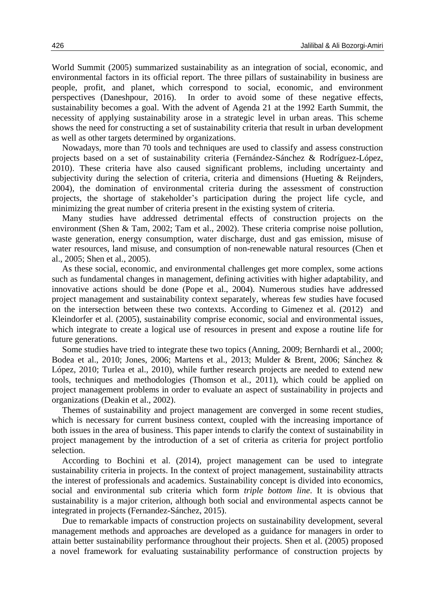World Summit (2005) summarized sustainability as an integration of social, economic, and environmental factors in its official report. The three pillars of sustainability in business are people, profit, and planet, which correspond to social, economic, and environment perspectives (Daneshpour, 2016). In order to avoid some of these negative effects, sustainability becomes a goal. With the advent of Agenda 21 at the 1992 Earth Summit, the necessity of applying sustainability arose in a strategic level in urban areas. This scheme shows the need for constructing a set of sustainability criteria that result in urban development as well as other targets determined by organizations.

Nowadays, more than 70 tools and techniques are used to classify and assess construction projects based on a set of sustainability criteria (Fernández-Sánchez & Rodríguez-López, 2010). These criteria have also caused significant problems, including uncertainty and subjectivity during the selection of criteria, criteria and dimensions (Hueting & Reijnders, 2004), the domination of environmental criteria during the assessment of construction projects, the shortage of stakeholder's participation during the project life cycle, and minimizing the great number of criteria present in the existing system of criteria.

Many studies have addressed detrimental effects of construction projects on the environment (Shen & Tam, 2002; Tam et al., 2002). These criteria comprise noise pollution, waste generation, energy consumption, water discharge, dust and gas emission, misuse of water resources, land misuse, and consumption of non-renewable natural resources (Chen et al., 2005; Shen et al., 2005).

As these social, economic, and environmental challenges get more complex, some actions such as fundamental changes in management, defining activities with higher adaptability, and innovative actions should be done (Pope et al., 2004). Numerous studies have addressed project management and sustainability context separately, whereas few studies have focused on the intersection between these two contexts. According to Gimenez et al. (2012) and Kleindorfer et al. (2005), sustainability comprise economic, social and environmental issues, which integrate to create a logical use of resources in present and expose a routine life for future generations.

Some studies have tried to integrate these two topics (Anning, 2009; Bernhardi et al., 2000; Bodea et al., 2010; Jones, 2006; Martens et al., 2013; Mulder & Brent, 2006; Sánchez & López, 2010; Turlea et al., 2010), while further research projects are needed to extend new tools, techniques and methodologies (Thomson et al., 2011), which could be applied on project management problems in order to evaluate an aspect of sustainability in projects and organizations (Deakin et al., 2002).

Themes of sustainability and project management are converged in some recent studies, which is necessary for current business context, coupled with the increasing importance of both issues in the area of business. This paper intends to clarify the context of sustainability in project management by the introduction of a set of criteria as criteria for project portfolio selection.

According to Bochini et al. (2014), project management can be used to integrate sustainability criteria in projects. In the context of project management, sustainability attracts the interest of professionals and academics. Sustainability concept is divided into economics, social and environmental sub criteria which form *triple bottom line*. It is obvious that sustainability is a major criterion, although both social and environmental aspects cannot be integrated in projects (Fernandez-Sánchez, 2015).

Due to remarkable impacts of construction projects on sustainability development, several management methods and approaches are developed as a guidance for managers in order to attain better sustainability performance throughout their projects. Shen et al. (2005) proposed a novel framework for evaluating sustainability performance of construction projects by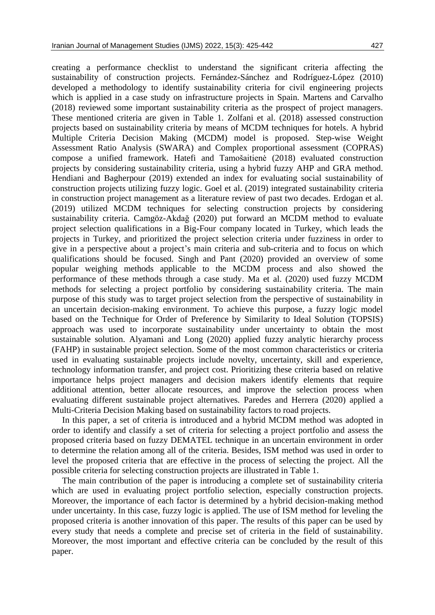creating a performance checklist to understand the significant criteria affecting the sustainability of construction projects. Fernández-Sánchez and Rodríguez-López (2010) developed a methodology to identify sustainability criteria for civil engineering projects which is applied in a case study on infrastructure projects in Spain. Martens and Carvalho (2018) reviewed some important sustainability criteria as the prospect of project managers. These mentioned criteria are given in Table 1. Zolfani et al. (2018) assessed construction projects based on sustainability criteria by means of MCDM techniques for hotels. A hybrid Multiple Criteria Decision Making (MCDM) model is proposed. Step-wise Weight Assessment Ratio Analysis (SWARA) and Complex proportional assessment (COPRAS) compose a unified framework. Hatefi and Tamošaitienė (2018) evaluated construction projects by considering sustainability criteria, using a hybrid fuzzy AHP and GRA method. Hendiani and Bagherpour (2019) extended an index for evaluating social sustainability of construction projects utilizing fuzzy logic. Goel et al. (2019) integrated sustainability criteria in construction project management as a literature review of past two decades. Erdogan et al. (2019) utilized MCDM techniques for selecting construction projects by considering sustainability criteria. Camgöz-Akdağ (2020) put forward an MCDM method to evaluate project selection qualifications in a Big-Four company located in Turkey, which leads the projects in Turkey, and prioritized the project selection criteria under fuzziness in order to give in a perspective about a project's main criteria and sub-criteria and to focus on which qualifications should be focused. Singh and Pant (2020) provided an overview of some popular weighing methods applicable to the MCDM process and also showed the performance of these methods through a case study. Ma et al. (2020) used fuzzy MCDM methods for selecting a project portfolio by considering sustainability criteria. The main purpose of this study was to target project selection from the perspective of sustainability in an uncertain decision-making environment. To achieve this purpose, a fuzzy logic model based on the Technique for Order of Preference by Similarity to Ideal Solution (TOPSIS) approach was used to incorporate sustainability under uncertainty to obtain the most sustainable solution. Alyamani and Long (2020) applied fuzzy analytic hierarchy process (FAHP) in sustainable project selection. Some of the most common characteristics or criteria used in evaluating sustainable projects include novelty, uncertainty, skill and experience, technology information transfer, and project cost. Prioritizing these criteria based on relative importance helps project managers and decision makers identify elements that require additional attention, better allocate resources, and improve the selection process when evaluating different sustainable project alternatives. Paredes and Herrera (2020) applied a Multi-Criteria Decision Making based on sustainability factors to road projects.

In this paper, a set of criteria is introduced and a hybrid MCDM method was adopted in order to identify and classify a set of criteria for selecting a project portfolio and assess the proposed criteria based on fuzzy DEMATEL technique in an uncertain environment in order to determine the relation among all of the criteria. Besides, ISM method was used in order to level the proposed criteria that are effective in the process of selecting the project. All the possible criteria for selecting construction projects are illustrated in Table 1.

The main contribution of the paper is introducing a complete set of sustainability criteria which are used in evaluating project portfolio selection, especially construction projects. Moreover, the importance of each factor is determined by a hybrid decision-making method under uncertainty. In this case, fuzzy logic is applied. The use of ISM method for leveling the proposed criteria is another innovation of this paper. The results of this paper can be used by every study that needs a complete and precise set of criteria in the field of sustainability. Moreover, the most important and effective criteria can be concluded by the result of this paper.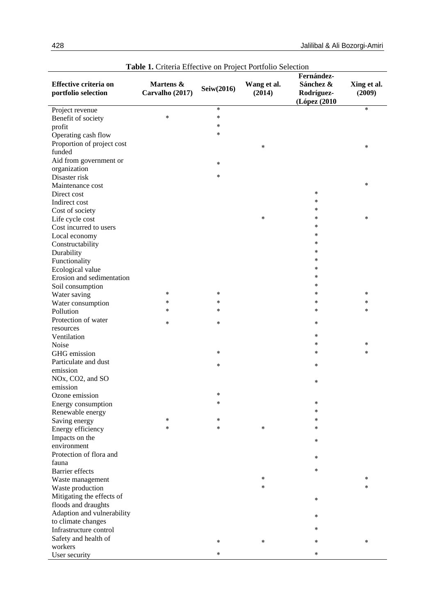|                                              | <b>Table 1.</b> Chiena Effective on Floject Fortfolio Selection |                  |                       |                                                       |                       |
|----------------------------------------------|-----------------------------------------------------------------|------------------|-----------------------|-------------------------------------------------------|-----------------------|
| Effective criteria on<br>portfolio selection | Martens &<br>Carvalho (2017)                                    | Seiw(2016)       | Wang et al.<br>(2014) | Fernández-<br>Sánchez &<br>Rodríguez-<br>(López (2010 | Xing et al.<br>(2009) |
| Project revenue                              |                                                                 | $\ast$           |                       |                                                       | $\ast$                |
| Benefit of society                           | $\ast$                                                          | $\ast$           |                       |                                                       |                       |
| profit                                       |                                                                 | $\ast$           |                       |                                                       |                       |
| Operating cash flow                          |                                                                 | $\ast$           |                       |                                                       |                       |
| Proportion of project cost                   |                                                                 |                  | $\ast$                |                                                       | $\ast$                |
| funded                                       |                                                                 |                  |                       |                                                       |                       |
| Aid from government or                       |                                                                 | $\ast$           |                       |                                                       |                       |
| organization                                 |                                                                 |                  |                       |                                                       |                       |
| Disaster risk                                |                                                                 | $\ast$           |                       |                                                       |                       |
| Maintenance cost                             |                                                                 |                  |                       |                                                       | $\ast$                |
| Direct cost                                  |                                                                 |                  |                       | $\ast$                                                |                       |
| Indirect cost                                |                                                                 |                  |                       | $\ast$                                                |                       |
| Cost of society                              |                                                                 |                  |                       | *                                                     |                       |
| Life cycle cost                              |                                                                 |                  | $\ast$                | $\ast$                                                | $\ast$                |
| Cost incurred to users                       |                                                                 |                  |                       | $\ast$                                                |                       |
| Local economy                                |                                                                 |                  |                       | *                                                     |                       |
| Constructability                             |                                                                 |                  |                       | *                                                     |                       |
| Durability                                   |                                                                 |                  |                       | *                                                     |                       |
| Functionality                                |                                                                 |                  |                       | $\ast$                                                |                       |
| Ecological value                             |                                                                 |                  |                       | $\ast$                                                |                       |
| Erosion and sedimentation                    |                                                                 |                  |                       | $\ast$                                                |                       |
| Soil consumption                             |                                                                 |                  |                       | $\ast$                                                |                       |
| Water saving                                 | *                                                               | $\ast$           |                       | *                                                     | $\ast$                |
|                                              | *                                                               | $\ast$           |                       | $\ast$                                                | $\ast$                |
| Water consumption<br>Pollution               | $\ast$                                                          | $\ast$           |                       | $\ast$                                                | $\ast$                |
| Protection of water                          |                                                                 |                  |                       |                                                       |                       |
|                                              | $\ast$                                                          | $\ast$           |                       | *                                                     |                       |
| resources                                    |                                                                 |                  |                       | *                                                     |                       |
| Ventilation<br><b>Noise</b>                  |                                                                 |                  |                       | *                                                     | $\ast$                |
|                                              |                                                                 | $\ast$           |                       | $\ast$                                                | $\ast$                |
| GHG emission                                 |                                                                 |                  |                       |                                                       |                       |
| Particulate and dust                         |                                                                 | $\ast$           |                       | $\ast$                                                |                       |
| emission                                     |                                                                 |                  |                       |                                                       |                       |
| NO <sub>x</sub> , CO <sub>2</sub> , and SO   |                                                                 |                  |                       | $\ast$                                                |                       |
| emission                                     |                                                                 | $\ast$           |                       |                                                       |                       |
| Ozone emission                               |                                                                 | $\ast$           |                       | $\ast$                                                |                       |
| Energy consumption                           |                                                                 |                  |                       | *                                                     |                       |
| Renewable energy                             |                                                                 |                  |                       | *                                                     |                       |
| Saving energy                                | *<br>*                                                          | $\ast$<br>$\ast$ | $\ast$                | *                                                     |                       |
| Energy efficiency                            |                                                                 |                  |                       |                                                       |                       |
| Impacts on the                               |                                                                 |                  |                       | *                                                     |                       |
| environment                                  |                                                                 |                  |                       |                                                       |                       |
| Protection of flora and                      |                                                                 |                  |                       | *                                                     |                       |
| fauna                                        |                                                                 |                  |                       |                                                       |                       |
| <b>Barrier</b> effects                       |                                                                 |                  |                       | $\ast$                                                |                       |
| Waste management                             |                                                                 |                  | $\ast$                |                                                       | $\ast$                |
| Waste production                             |                                                                 |                  | $\ast$                |                                                       | $\ast$                |
| Mitigating the effects of                    |                                                                 |                  |                       | $\ast$                                                |                       |
| floods and draughts                          |                                                                 |                  |                       |                                                       |                       |
| Adaption and vulnerability                   |                                                                 |                  |                       | *                                                     |                       |
| to climate changes                           |                                                                 |                  |                       |                                                       |                       |
| Infrastructure control                       |                                                                 |                  |                       | *                                                     |                       |
| Safety and health of                         |                                                                 | $\ast$           | $\ast$                | $\ast$                                                | $\ast$                |
| workers                                      |                                                                 |                  |                       |                                                       |                       |
| User security                                |                                                                 | $\ast$           |                       | *                                                     |                       |

**Table 1.** Criteria Effective on Project Portfolio Selection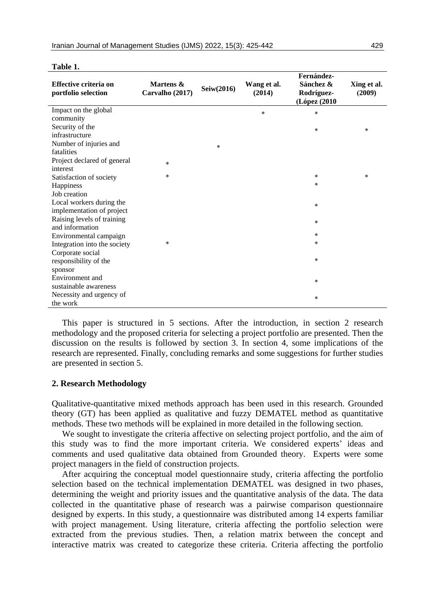| Effective criteria on<br>portfolio selection | Martens &<br>Carvalho (2017) | Seiw(2016) | Wang et al.<br>(2014) | Fernández-<br>Sánchez &<br>Rodríguez-<br>(López (2010 | Xing et al.<br>(2009) |
|----------------------------------------------|------------------------------|------------|-----------------------|-------------------------------------------------------|-----------------------|
| Impact on the global                         |                              |            | $\ast$                | $\ast$                                                |                       |
| community                                    |                              |            |                       |                                                       |                       |
| Security of the                              |                              |            |                       | $\ast$                                                | *                     |
| infrastructure                               |                              |            |                       |                                                       |                       |
| Number of injuries and                       |                              | $\ast$     |                       |                                                       |                       |
| fatalities                                   |                              |            |                       |                                                       |                       |
| Project declared of general<br>interest      | $\ast$                       |            |                       |                                                       |                       |
| Satisfaction of society                      | $\ast$                       |            |                       | $\ast$                                                | *                     |
| Happiness                                    |                              |            |                       | $\ast$                                                |                       |
| Job creation                                 |                              |            |                       |                                                       |                       |
| Local workers during the                     |                              |            |                       | $\ast$                                                |                       |
| implementation of project                    |                              |            |                       |                                                       |                       |
| Raising levels of training                   |                              |            |                       | $\ast$                                                |                       |
| and information                              |                              |            |                       |                                                       |                       |
| Environmental campaign                       |                              |            |                       | $\ast$                                                |                       |
| Integration into the society                 | $\ast$                       |            |                       | $\ast$                                                |                       |
| Corporate social                             |                              |            |                       |                                                       |                       |
| responsibility of the                        |                              |            |                       | $\ast$                                                |                       |
| sponsor                                      |                              |            |                       |                                                       |                       |
| Environment and                              |                              |            |                       | $\ast$                                                |                       |
| sustainable awareness                        |                              |            |                       |                                                       |                       |
| Necessity and urgency of                     |                              |            |                       | $\ast$                                                |                       |
| the work                                     |                              |            |                       |                                                       |                       |

#### **Table 1.**

This paper is structured in 5 sections. After the introduction, in section 2 research methodology and the proposed criteria for selecting a project portfolio are presented. Then the discussion on the results is followed by section 3. In section 4, some implications of the research are represented. Finally, concluding remarks and some suggestions for further studies are presented in section 5.

#### **2. Research Methodology**

Qualitative-quantitative mixed methods approach has been used in this research. Grounded theory (GT) has been applied as qualitative and fuzzy DEMATEL method as quantitative methods. These two methods will be explained in more detailed in the following section.

We sought to investigate the criteria affective on selecting project portfolio, and the aim of this study was to find the more important criteria. We considered experts' ideas and comments and used qualitative data obtained from Grounded theory. Experts were some project managers in the field of construction projects.

After acquiring the conceptual model questionnaire study, criteria affecting the portfolio selection based on the technical implementation DEMATEL was designed in two phases, determining the weight and priority issues and the quantitative analysis of the data. The data collected in the quantitative phase of research was a pairwise comparison questionnaire designed by experts. In this study, a questionnaire was distributed among 14 experts familiar with project management. Using literature, criteria affecting the portfolio selection were extracted from the previous studies. Then, a relation matrix between the concept and interactive matrix was created to categorize these criteria. Criteria affecting the portfolio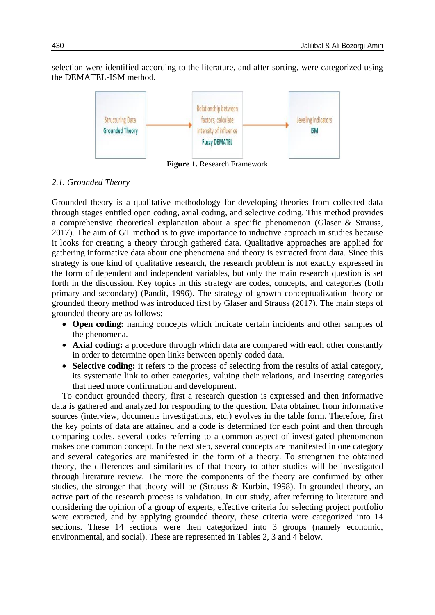selection were identified according to the literature, and after sorting, were categorized using the DEMATEL-ISM method.



**Figure 1.** Research Framework

# *2.1. Grounded Theory*

Grounded theory is a qualitative methodology for developing theories from collected data through stages entitled open coding, axial coding, and selective coding. This method provides a comprehensive theoretical explanation about a specific phenomenon (Glaser & Strauss, 2017). The aim of GT method is to give importance to inductive approach in studies because it looks for creating a theory through gathered data. Qualitative approaches are applied for gathering informative data about one phenomena and theory is extracted from data. Since this strategy is one kind of qualitative research, the research problem is not exactly expressed in the form of dependent and independent variables, but only the main research question is set forth in the discussion. Key topics in this strategy are codes, concepts, and categories (both primary and secondary) (Pandit, 1996). The strategy of growth conceptualization theory or grounded theory method was introduced first by Glaser and Strauss (2017). The main steps of grounded theory are as follows:

- **Open coding:** naming concepts which indicate certain incidents and other samples of the phenomena.
- **Axial coding:** a procedure through which data are compared with each other constantly in order to determine open links between openly coded data.
- **Selective coding:** it refers to the process of selecting from the results of axial category, its systematic link to other categories, valuing their relations, and inserting categories that need more confirmation and development.

To conduct grounded theory, first a research question is expressed and then informative data is gathered and analyzed for responding to the question. Data obtained from informative sources (interview, documents investigations, etc.) evolves in the table form. Therefore, first the key points of data are attained and a code is determined for each point and then through comparing codes, several codes referring to a common aspect of investigated phenomenon makes one common concept. In the next step, several concepts are manifested in one category and several categories are manifested in the form of a theory. To strengthen the obtained theory, the differences and similarities of that theory to other studies will be investigated through literature review. The more the components of the theory are confirmed by other studies, the stronger that theory will be (Strauss & Kurbin, 1998). In grounded theory, an active part of the research process is validation. In our study, after referring to literature and considering the opinion of a group of experts, effective criteria for selecting project portfolio were extracted, and by applying grounded theory, these criteria were categorized into 14 sections. These 14 sections were then categorized into 3 groups (namely economic, environmental, and social). These are represented in Tables 2, 3 and 4 below.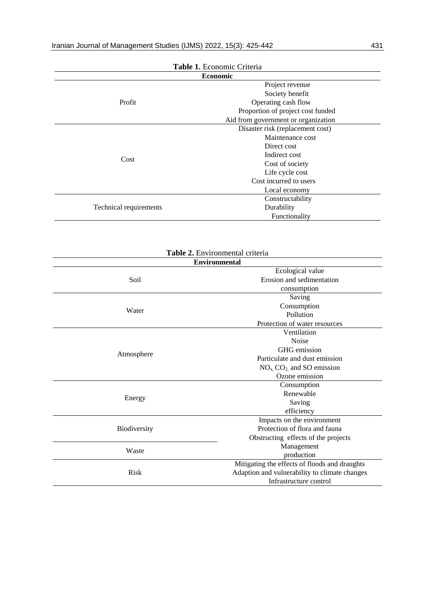| <b>Table 1.</b> Economic Criteria |                                     |  |  |  |  |  |  |
|-----------------------------------|-------------------------------------|--|--|--|--|--|--|
| <b>Economic</b>                   |                                     |  |  |  |  |  |  |
|                                   | Project revenue                     |  |  |  |  |  |  |
|                                   | Society benefit                     |  |  |  |  |  |  |
| Profit                            | Operating cash flow                 |  |  |  |  |  |  |
|                                   | Proportion of project cost funded   |  |  |  |  |  |  |
|                                   | Aid from government or organization |  |  |  |  |  |  |
|                                   | Disaster risk (replacement cost)    |  |  |  |  |  |  |
|                                   | Maintenance cost                    |  |  |  |  |  |  |
|                                   | Direct cost                         |  |  |  |  |  |  |
| Cost                              | Indirect cost                       |  |  |  |  |  |  |
|                                   | Cost of society                     |  |  |  |  |  |  |
|                                   | Life cycle cost                     |  |  |  |  |  |  |
|                                   | Cost incurred to users              |  |  |  |  |  |  |
|                                   | Local economy                       |  |  |  |  |  |  |
|                                   | Constructability                    |  |  |  |  |  |  |
| Technical requirements            | Durability                          |  |  |  |  |  |  |
|                                   | Functionality                       |  |  |  |  |  |  |

| Table 2. Environmental criteria |                                               |  |  |  |  |  |  |  |
|---------------------------------|-----------------------------------------------|--|--|--|--|--|--|--|
| <b>Environmental</b>            |                                               |  |  |  |  |  |  |  |
|                                 | Ecological value                              |  |  |  |  |  |  |  |
| Soil                            | Erosion and sedimentation                     |  |  |  |  |  |  |  |
|                                 | consumption                                   |  |  |  |  |  |  |  |
|                                 | Saving                                        |  |  |  |  |  |  |  |
| Water                           | Consumption                                   |  |  |  |  |  |  |  |
|                                 | Pollution                                     |  |  |  |  |  |  |  |
|                                 | Protection of water resources                 |  |  |  |  |  |  |  |
|                                 | Ventilation                                   |  |  |  |  |  |  |  |
|                                 | <b>Noise</b>                                  |  |  |  |  |  |  |  |
| Atmosphere                      | GHG emission                                  |  |  |  |  |  |  |  |
|                                 | Particulate and dust emission                 |  |  |  |  |  |  |  |
|                                 | $NOx$ , $CO2$ , and SO emission               |  |  |  |  |  |  |  |
|                                 | Ozone emission                                |  |  |  |  |  |  |  |
|                                 | Consumption                                   |  |  |  |  |  |  |  |
| Energy                          | Renewable                                     |  |  |  |  |  |  |  |
|                                 | Saving                                        |  |  |  |  |  |  |  |
|                                 | efficiency                                    |  |  |  |  |  |  |  |
|                                 | Impacts on the environment                    |  |  |  |  |  |  |  |
| Biodiversity                    | Protection of flora and fauna                 |  |  |  |  |  |  |  |
|                                 | Obstructing effects of the projects           |  |  |  |  |  |  |  |
| Waste                           | Management                                    |  |  |  |  |  |  |  |
|                                 | production                                    |  |  |  |  |  |  |  |
|                                 | Mitigating the effects of floods and draughts |  |  |  |  |  |  |  |
| <b>Risk</b>                     | Adaption and vulnerability to climate changes |  |  |  |  |  |  |  |
|                                 | Infrastructure control                        |  |  |  |  |  |  |  |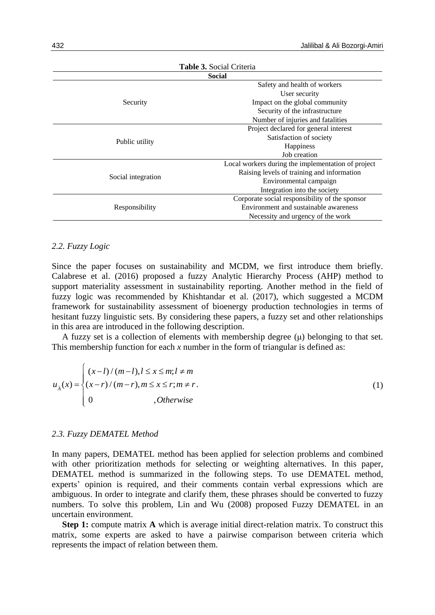| Table 3. Social Criteria                           |  |  |  |  |  |  |  |  |  |
|----------------------------------------------------|--|--|--|--|--|--|--|--|--|
| <b>Social</b>                                      |  |  |  |  |  |  |  |  |  |
| Safety and health of workers                       |  |  |  |  |  |  |  |  |  |
| User security                                      |  |  |  |  |  |  |  |  |  |
| Impact on the global community                     |  |  |  |  |  |  |  |  |  |
| Security of the infrastructure                     |  |  |  |  |  |  |  |  |  |
| Number of injuries and fatalities                  |  |  |  |  |  |  |  |  |  |
| Project declared for general interest              |  |  |  |  |  |  |  |  |  |
| Satisfaction of society                            |  |  |  |  |  |  |  |  |  |
| Happiness                                          |  |  |  |  |  |  |  |  |  |
| Job creation                                       |  |  |  |  |  |  |  |  |  |
| Local workers during the implementation of project |  |  |  |  |  |  |  |  |  |
| Raising levels of training and information         |  |  |  |  |  |  |  |  |  |
| Environmental campaign                             |  |  |  |  |  |  |  |  |  |
| Integration into the society                       |  |  |  |  |  |  |  |  |  |
| Corporate social responsibility of the sponsor     |  |  |  |  |  |  |  |  |  |
| Environment and sustainable awareness              |  |  |  |  |  |  |  |  |  |
| Necessity and urgency of the work                  |  |  |  |  |  |  |  |  |  |
|                                                    |  |  |  |  |  |  |  |  |  |

#### *2.2. Fuzzy Logic*

Since the paper focuses on sustainability and MCDM, we first introduce them briefly. Calabrese et al. (2016) proposed a fuzzy Analytic Hierarchy Process (AHP) method to support materiality assessment in sustainability reporting. Another method in the field of fuzzy logic was recommended by Khishtandar et al. (2017), which suggested a MCDM framework for sustainability assessment of bioenergy production technologies in terms of hesitant fuzzy linguistic sets. By considering these papers, a fuzzy set and other relationships in this area are introduced in the following description.

A fuzzy set is a collection of elements with membership degree (μ) belonging to that set. This membership function for each *x* number in the form of triangular is defined as:

$$
u_{\tilde{A}}(x) = \begin{cases} (x-l)/(m-l), l \le x \le m; l \ne m \\ (x-r)/(m-r), m \le x \le r; m \ne r. \\ 0, \quad \text{otherwise} \end{cases} \tag{1}
$$

#### *2.3. Fuzzy DEMATEL Method*

In many papers, DEMATEL method has been applied for selection problems and combined with other prioritization methods for selecting or weighting alternatives. In this paper, DEMATEL method is summarized in the following steps. To use DEMATEL method, experts' opinion is required, and their comments contain verbal expressions which are ambiguous. In order to integrate and clarify them, these phrases should be converted to fuzzy numbers. To solve this problem, Lin and Wu (2008) proposed Fuzzy DEMATEL in an uncertain environment.

**Step 1:** compute matrix **A** which is average initial direct-relation matrix. To construct this matrix, some experts are asked to have a pairwise comparison between criteria which represents the impact of relation between them.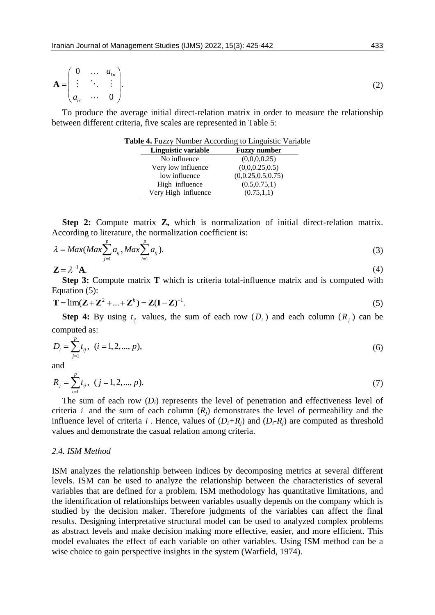|  | $\mathbf{A} = \begin{pmatrix} 0 & \cdots & a_{1n} \\ \vdots & \ddots & \vdots \\ a_{n1} & \cdots & 0 \end{pmatrix}.$ |  |
|--|----------------------------------------------------------------------------------------------------------------------|--|
|  |                                                                                                                      |  |

<span id="page-8-0"></span>To produce the average initial direct-relation matrix in order to measure the relationship between different criteria, five scales are represented in Table 5:

| Linguistic variable | <b>Fuzzy number</b> |
|---------------------|---------------------|
| No influence        | (0,0,0,0.25)        |
| Very low influence  | (0,0,0.25,0.5)      |
| low influence       | (0,0.25,0.5,0.75)   |
| High influence      | (0.5, 0.75, 1)      |
| Very High influence | (0.75, 1, 1)        |

**Step 2:** Compute matrix **Z,** which is normalization of initial direct-relation matrix.

According to literature, the normalization coefficient is:  
\n
$$
\lambda = Max(Max \sum_{j=1}^{p} a_{ij}, Max \sum_{i=1}^{p} a_{ij}).
$$
\n(3)  
\n
$$
\mathbf{Z} = \lambda^{-1} \mathbf{A}.
$$

 $\mathbf{Z} = \lambda^{-1} \mathbf{A}.$ 

**Step 3:** Compute matrix **T** which is criteria total-influence matrix and is computed with

Equation (5):  
\n**T** = lim(
$$
\mathbf{Z} + \mathbf{Z}^2 + ... + \mathbf{Z}^k
$$
) =  $\mathbf{Z}(\mathbf{I} - \mathbf{Z})^{-1}$ . (5)

**Step 4:** By using  $t_{ij}$  values, the sum of each row  $(D_i)$  and each column  $(R_j)$  can be computed as:

$$
D_i = \sum_{j=1}^{p} t_{ij}, \ (i = 1, 2, \dots, p), \tag{6}
$$

and

$$
R_j = \sum_{i=1}^p t_{ij}, \ (j = 1, 2, \dots, p). \tag{7}
$$

The sum of each row  $(D_i)$  represents the level of penetration and effectiveness level of criteria *i* and the sum of each column  $(R_j)$  demonstrates the level of permeability and the influence level of criteria *i*. Hence, values of  $(D_i + R_j)$  and  $(D_i - R_j)$  are computed as threshold values and demonstrate the casual relation among criteria.

#### *2.4. ISM Method*

ISM analyzes the relationship between indices by decomposing metrics at several different levels. ISM can be used to analyze the relationship between the characteristics of several variables that are defined for a problem. ISM methodology has quantitative limitations, and the identification of relationships between variables usually depends on the company which is studied by the decision maker. Therefore judgments of the variables can affect the final results. Designing interpretative structural model can be used to analyzed complex problems as abstract levels and make decision making more effective, easier, and more efficient. This model evaluates the effect of each variable on other variables. Using ISM method can be a wise choice to gain perspective insights in the system (Warfield, 1974).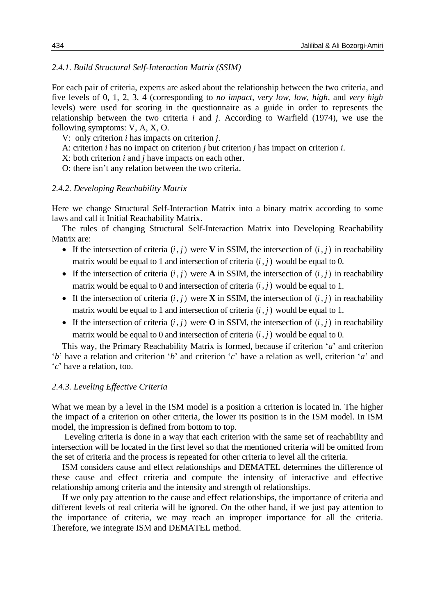## *2.4.1. Build Structural Self-Interaction Matrix (SSIM)*

For each pair of criteria, experts are asked about the relationship between the two criteria, and five levels of 0, 1, 2, 3, 4 (corresponding to *no impact, very low, low, high,* and *very high* levels) were used for scoring in the questionnaire as a guide in order to represents the relationship between the two criteria *i* and *j*. According to Warfield (1974), we use the following symptoms: V, A, X, O.

V: only criterion *i* has impacts on criterion *j*.

A: criterion *i* has no impact on criterion *j* but criterion *j* has impact on criterion *i*.

X: both criterion *i* and *j* have impacts on each other.

O: there isn't any relation between the two criteria.

## *2.4.2. Developing Reachability Matrix*

Here we change Structural Self-Interaction Matrix into a binary matrix according to some laws and call it Initial Reachability Matrix.

The rules of changing Structural Self-Interaction Matrix into Developing Reachability Matrix are:

- If the intersection of criteria  $(i, j)$  were **V** in SSIM, the intersection of  $(i, j)$  in reachability Interaction Matrix into<br>y Matrix.<br>ural Self-Interaction M<br>(*i*, *j*) were **V** in SSIM, the intersection of criteria (according to some<br>
oping Reachability<br>  $(i, j)$  in reachability<br>
qual to 0. matrix would be equal to 1 and intersection of criteria  $(i, j)$  would be equal to 0. (a binary matrix accord<br>atrix into Developing 1<br>intersection of  $(i, j)$  ir<br> $(i, j)$  would be equal to (i. i) in The rules of changing Structural Self-Interaction M<br>
x are:<br>
If the intersection of criteria  $(i, j)$  were **V** in SSIM, the matrix would be equal to 1 and intersection of criteria<br>
If the intersection of criteria  $(i, j)$  wer (*i*, *j*) in<br>
(*i*, *j*) would be equal to (<br>
(*i*, *j*) would be equal to (<br>
(*i*, *j*) would be equal to 1<br>
(*i*, *j*) would be equal to 1<br>
intersection of (*i*, *j*) in  $(i, j)$  were **V** in SSIM, the intersection of criteria  $(i, j)$  were **A** in SSIM, the intersection of criteria  $(i, j)$  were **X** in SSIM, the intersection of criteria
- If the intersection of criteria  $(i, j)$  were **A** in SSIM, the intersection of  $(i, j)$  in reachability oping Reachability<br>  $(i, j)$  in reachability<br>  $(i, j)$  in reachability<br>  $(i, j)$  in reachability<br>
qual to 1. would be equal to 1.  $(i, j)$  in reachability<br>qual to 0.<br> $(i, j)$  in reachability<br>qual to 1.<br> $(i, j)$  in reachability<br>qual to 1.  $(i, j)$  would be equal to (<br>i.e intersection of  $(i, j)$  in<br> $(i, j)$  would be equal to 1<br>intersection of  $(i, j)$  in<br> $(i, j)$  would be equal to 1<br>intersection of  $(i, j)$  in
- If the intersection of criteria  $(i, j)$  were **X** in SSIM, the intersection of  $(i, j)$  in reachability matrix would be equal to 1 and intersection of criteria  $(i, j)$  would be equal to 1.
- If the intersection of criteria  $(i, j)$  were **O** in SSIM, the intersection of  $(i, j)$  in reachability  $(i, j)$  were **A** in SSIM, the intersection of criteria  $(i, j)$  were **X** in SSIM, the intersection of criteria  $(i, j)$  were **O** in SSIM, the intersection of criteria  $(i, j)$  in reachability<br>qual to 1.<br> $(i, j)$  in reachability<br>qual to 1.<br> $(i, j)$  in reachability<br>qual to 0. matrix would be equal to 0 and intersection of criteria  $(i, j)$  would be equal to 0. matrix would be equal to 0 and intersection of criteria  $(i, j)$  would be equal to 1.<br>
• If the intersection of criteria  $(i, j)$  were **X** in SSIM, the intersection of  $(i, j)$  in reachability matrix would be equal to 1 and int

'*b*' have a relation and criterion '*b*' and criterion '*c*' have a relation as well, criterion '*a*' and '*c*' have a relation, too.

#### *2.4.3. Leveling Effective Criteria*

What we mean by a level in the ISM model is a position a criterion is located in. The higher the impact of a criterion on other criteria, the lower its position is in the ISM model. In ISM model, the impression is defined from bottom to top.

Leveling criteria is done in a way that each criterion with the same set of reachability and intersection will be located in the first level so that the mentioned criteria will be omitted from the set of criteria and the process is repeated for other criteria to level all the criteria.

ISM considers cause and effect relationships and DEMATEL determines the difference of these cause and effect criteria and compute the intensity of interactive and effective relationship among criteria and the intensity and strength of relationships.

If we only pay attention to the cause and effect relationships, the importance of criteria and different levels of real criteria will be ignored. On the other hand, if we just pay attention to the importance of criteria, we may reach an improper importance for all the criteria. Therefore, we integrate ISM and DEMATEL method.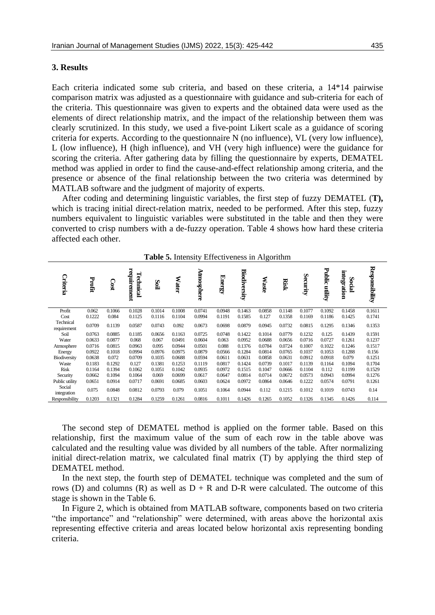#### **3. Results**

Each criteria indicated some sub criteria, and based on these criteria, a 14\*14 pairwise comparison matrix was adjusted as a questionnaire with guidance and sub-criteria for each of the criteria. This questionnaire was given to experts and the obtained data were used as the elements of direct relationship matrix, and the impact of the relationship between them was clearly scrutinized. In this study, we used a five-point Likert scale as a guidance of scoring criteria for experts. According to the questionnaire N (no influence), VL (very low influence), L (low influence), H (high influence), and VH (very high influence) were the guidance for scoring the criteria. After gathering data by filling the questionnaire by experts, DEMATEL method was applied in order to find the cause-and-effect relationship among criteria, and the presence or absence of the final relationship between the two criteria was determined by MATLAB software and the judgment of majority of experts.

After coding and determining linguistic variables, the first step of fuzzy DEMATEL (**T),** which is tracing initial direct-relation matrix, needed to be performed. After this step, fuzzy numbers equivalent to linguistic variables were substituted in the table and then they were converted to crisp numbers with a de-fuzzy operation. [Table 4](#page-8-0) shows how hard these criteria affected each other.

| <b>Table 5.</b> Intensity<br>Effectiveness in Algorithm |        |        |                          |        |              |            |               |              |        |             |          |                   |                       |                |
|---------------------------------------------------------|--------|--------|--------------------------|--------|--------------|------------|---------------|--------------|--------|-------------|----------|-------------------|-----------------------|----------------|
| Criteria                                                | Profit | Cost   | requirement<br>Technical | Soil   | <b>Water</b> | Atmosphere | <b>Energy</b> | Biodiversity | Waste  | <b>Risk</b> | Security | Public<br>utility | integration<br>Social | Responsibility |
| Profit                                                  | 0.062  | 0.1066 | 0.1028                   | 0.1014 | 0.1008       | 0.0741     | 0.0948        | 0.1463       | 0.0858 | 0.1148      | 0.1077   | 0.1092            | 0.1458                | 0.1611         |
| Cost                                                    | 0.1222 | 0.084  | 0.1125                   | 0.1116 | 0.1104       | 0.0994     | 0.1191        | 0.1585       | 0.127  | 0.1358      | 0.1169   | 0.1186            | 0.1425                | 0.1741         |
| Technical<br>requirement                                | 0.0709 | 0.1139 | 0.0587                   | 0.0743 | 0.092        | 0.0673     | 0.0698        | 0.0879       | 0.0945 | 0.0732      | 0.0815   | 0.1295            | 0.1346                | 0.1353         |
| Soil                                                    | 0.0763 | 0.0885 | 0.1185                   | 0.0656 | 0.1163       | 0.0725     | 0.0748        | 0.1422       | 0.1014 | 0.0779      | 0.1232   | 0.125             | 0.1439                | 0.1591         |
| Water                                                   | 0.0633 | 0.0877 | 0.068                    | 0.067  | 0.0491       | 0.0604     | 0.063         | 0.0952       | 0.0688 | 0.0656      | 0.0716   | 0.0727            | 0.1261                | 0.1237         |
| Atmosphere                                              | 0.0716 | 0.0815 | 0.0963                   | 0.095  | 0.0944       | 0.0501     | 0.088         | 0.1376       | 0.0784 | 0.0724      | 0.1007   | 0.1022            | 0.1246                | 0.1517         |
| Energy                                                  | 0.0922 | 0.1018 | 0.0994                   | 0.0976 | 0.0975       | 0.0879     | 0.0566        | 0.1284       | 0.0814 | 0.0765      | 0.1037   | 0.1053            | 0.1288                | 0.156          |
| <b>Biodiversity</b>                                     | 0.0638 | 0.072  | 0.0709                   | 0.1035 | 0.0688       | 0.0594     | 0.0611        | 0.0631       | 0.0858 | 0.0631      | 0.0912   | 0.0918            | 0.079                 | 0.1251         |
| Waste                                                   | 0.1183 | 0.1292 | 0.127                    | 0.1381 | 0.1253       | 0.1119     | 0.0817        | 0.1424       | 0.0739 | 0.1017      | 0.1139   | 0.1164            | 0.1094                | 0.1704         |
| Risk                                                    | 0.1164 | 0.1394 | 0.1062                   | 0.1051 | 0.1042       | 0.0935     | 0.0972        | 0.1515       | 0.1047 | 0.0666      | 0.1104   | 0.112             | 0.1199                | 0.1529         |
| Security                                                | 0.0662 | 0.1094 | 0.1064                   | 0.069  | 0.0699       | 0.0617     | 0.0647        | 0.0814       | 0.0714 | 0.0672      | 0.0573   | 0.0943            | 0.0994                | 0.1276         |
| Public utility                                          | 0.0651 | 0.0914 | 0.0717                   | 0.0691 | 0.0685       | 0.0603     | 0.0624        | 0.0972       | 0.0864 | 0.0646      | 0.1222   | 0.0574            | 0.0791                | 0.1261         |
| Social<br>integration                                   | 0.075  | 0.0848 | 0.0812                   | 0.0793 | 0.079        | 0.1051     | 0.1064        | 0.0944       | 0.112  | 0.1215      | 0.1012   | 0.1019            | 0.0743                | 0.14           |
| Responsibility                                          | 0.1203 | 0.1321 | 0.1284                   | 0.1259 | 0.1261       | 0.0816     | 0.1011        | 0.1426       | 0.1265 | 0.1052      | 0.1326   | 0.1345            | 0.1426                | 0.114          |

**Table 5.** Intensity Effectiveness in Algorithm

The second step of DEMATEL method is applied on the former table. Based on this relationship, first the maximum value of the sum of each row in the table above was calculated and the resulting value was divided by all numbers of the table. After normalizing initial direct-relation matrix, we calculated final matrix (T) by applying the third step of DEMATEL method.

In the next step, the fourth step of DEMATEL technique was completed and the sum of rows (D) and columns (R) as well as  $D + R$  and D-R were calculated. The outcome of this stage is shown in the [Table 6.](#page-11-0)

In Figure 2, which is obtained from MATLAB software, components based on two criteria "the importance" and "relationship" were determined, with areas above the horizontal axis representing effective criteria and areas located below horizontal axis representing bonding criteria.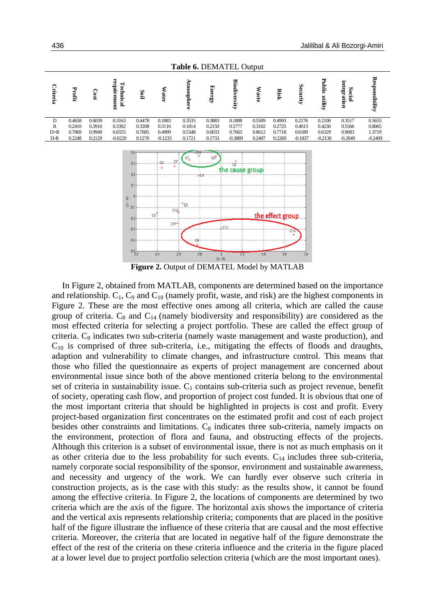<span id="page-11-0"></span>

**Figure 2.** Output of DEMATEL Model by MATLAB

In Figure 2, obtained from MATLAB, components are determined based on the importance and relationship.  $C_1$ ,  $C_9$  and  $C_{10}$  (namely profit, waste, and risk) are the highest components in Figure 2. These are the most effective ones among all criteria, which are called the cause group of criteria.  $C_8$  and  $C_{14}$  (namely biodiversity and responsibility) are considered as the most effected criteria for selecting a project portfolio. These are called the effect group of criteria. C<sub>9</sub> indicates two sub-criteria (namely waste management and waste production), and  $C_{10}$  is comprised of three sub-criteria, i.e., mitigating the effects of floods and draughts, adaption and vulnerability to climate changes, and infrastructure control. This means that those who filled the questionnaire as experts of project management are concerned about environmental issue since both of the above mentioned criteria belong to the environmental set of criteria in sustainability issue.  $C_1$  contains sub-criteria such as project revenue, benefit of society, operating cash flow, and proportion of project cost funded. It is obvious that one of the most important criteria that should be highlighted in projects is cost and profit. Every project-based organization first concentrates on the estimated profit and cost of each project besides other constraints and limitations.  $C_8$  indicates three sub-criteria, namely impacts on the environment, protection of flora and fauna, and obstructing effects of the projects. Although this criterion is a subset of environmental issue, there is not as much emphasis on it as other criteria due to the less probability for such events.  $C_{14}$  includes three sub-criteria, namely corporate social responsibility of the sponsor, environment and sustainable awareness, and necessity and urgency of the work. We can hardly ever observe such criteria in construction projects, as is the case with this study: as the results show, it cannot be found among the effective criteria. In Figure 2, the locations of components are determined by two criteria which are the axis of the figure. The horizontal axis shows the importance of criteria and the vertical axis represents relationship criteria; components that are placed in the positive half of the figure illustrate the influence of these criteria that are causal and the most effective criteria. Moreover, the criteria that are located in negative half of the figure demonstrate the effect of the rest of the criteria on these criteria influence and the criteria in the figure placed at a lower level due to project portfolio selection criteria (which are the most important ones).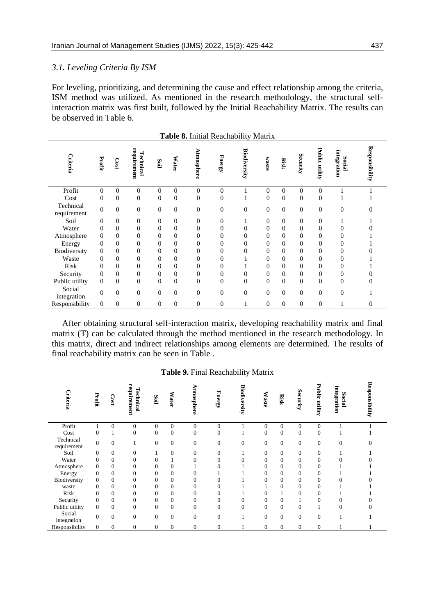## *3.1. Leveling Criteria By ISM*

For leveling, prioritizing, and determining the cause and effect relationship among the criteria, ISM method was utilized. As mentioned in the research methodology, the structural selfinteraction matrix was first built, followed by the Initial Reachability Matrix. The results can be observed in [Table 6.](#page-11-0)

| Criteria                 | Profit       | Cost           | requirement<br>Technical | Soil             | Water            | Atmosphere       | <b>Energy</b>    | <b>Biodiversity</b> | waste            | <b>Risk</b>    | Security       | Public<br>utility | integration<br><b>Social</b> | Responsibility   |
|--------------------------|--------------|----------------|--------------------------|------------------|------------------|------------------|------------------|---------------------|------------------|----------------|----------------|-------------------|------------------------------|------------------|
| Profit                   | $\theta$     | $\mathbf{0}$   | $\mathbf{0}$             | $\boldsymbol{0}$ | $\boldsymbol{0}$ | $\mathbf{0}$     | $\overline{0}$   |                     | $\boldsymbol{0}$ | $\mathbf{0}$   | $\theta$       | $\boldsymbol{0}$  |                              |                  |
| Cost                     | $\Omega$     | $\overline{0}$ | $\overline{0}$           | $\boldsymbol{0}$ | $\boldsymbol{0}$ | $\overline{0}$   | $\overline{0}$   | 1                   | $\theta$         | $\theta$       | $\theta$       | $\overline{0}$    |                              |                  |
| Technical<br>requirement | $\Omega$     | $\mathbf{0}$   | $\overline{0}$           | $\boldsymbol{0}$ | $\boldsymbol{0}$ | $\theta$         | $\boldsymbol{0}$ | $\theta$            | $\boldsymbol{0}$ | $\overline{0}$ | $\mathbf{0}$   | $\overline{0}$    | $\theta$                     | 0                |
| Soil                     | $\Omega$     | $\mathbf{0}$   | $\mathbf{0}$             | $\boldsymbol{0}$ | $\overline{0}$   | $\theta$         | $\theta$         | 1                   | $\theta$         | $\mathbf{0}$   | $\theta$       | $\overline{0}$    | 1                            |                  |
| Water                    | $\Omega$     | $\Omega$       | $\overline{0}$           | $\theta$         | $\overline{0}$   | $\mathbf{0}$     | $\overline{0}$   | $\theta$            | $\theta$         | $\Omega$       | $\overline{0}$ | $\overline{0}$    | $\overline{0}$               |                  |
| Atmosphere               | $\Omega$     | $\overline{0}$ | $\overline{0}$           | $\boldsymbol{0}$ | $\boldsymbol{0}$ | $\theta$         | $\mathbf{0}$     | $\overline{0}$      | $\theta$         | $\theta$       | $\overline{0}$ | $\boldsymbol{0}$  | $\boldsymbol{0}$             |                  |
| Energy                   | $\Omega$     | $\Omega$       | $\theta$                 | $\boldsymbol{0}$ | $\boldsymbol{0}$ | $\theta$         | $\boldsymbol{0}$ | $\overline{0}$      | $\theta$         | $\theta$       | $\theta$       | $\overline{0}$    | $\theta$                     |                  |
| Biodiversity             | $\Omega$     | $\Omega$       | $\overline{0}$           | $\boldsymbol{0}$ | $\mathbf{0}$     | $\theta$         | $\overline{0}$   | $\overline{0}$      | $\overline{0}$   | $\mathbf{0}$   | $\overline{0}$ | $\overline{0}$    | $\overline{0}$               |                  |
| Waste                    | $\Omega$     | $\overline{0}$ | $\overline{0}$           | $\boldsymbol{0}$ | $\boldsymbol{0}$ | $\theta$         | $\mathbf{0}$     |                     | $\theta$         | $\mathbf{0}$   | $\overline{0}$ | $\overline{0}$    | $\overline{0}$               |                  |
| Risk                     | $\Omega$     | $\Omega$       | $\theta$                 | $\theta$         | $\overline{0}$   | $\theta$         | $\mathbf{0}$     |                     | $\theta$         | $\Omega$       | $\mathbf{0}$   | $\overline{0}$    | $\theta$                     |                  |
| Security                 | $\Omega$     | $\Omega$       | $\overline{0}$           | $\boldsymbol{0}$ | $\boldsymbol{0}$ | $\theta$         | $\mathbf{0}$     | $\overline{0}$      | $\overline{0}$   | $\mathbf{0}$   | $\mathbf{0}$   | $\overline{0}$    | $\overline{0}$               |                  |
| Public utility           | $\Omega$     | $\theta$       | $\theta$                 | $\theta$         | $\mathbf{0}$     | $\theta$         | $\overline{0}$   | $\theta$            | $\overline{0}$   | $\Omega$       | $\theta$       | $\overline{0}$    | $\theta$                     | 0                |
| Social<br>integration    | $\Omega$     | $\overline{0}$ | $\overline{0}$           | $\boldsymbol{0}$ | $\boldsymbol{0}$ | $\mathbf{0}$     | $\boldsymbol{0}$ | $\mathbf{0}$        | $\boldsymbol{0}$ | $\overline{0}$ | $\mathbf{0}$   | $\mathbf{0}$      | $\theta$                     |                  |
| Responsibility           | $\mathbf{0}$ | $\mathbf{0}$   | $\mathbf{0}$             | $\mathbf{0}$     | $\boldsymbol{0}$ | $\boldsymbol{0}$ | $\boldsymbol{0}$ |                     | $\boldsymbol{0}$ | $\theta$       | $\mathbf{0}$   | $\boldsymbol{0}$  |                              | $\boldsymbol{0}$ |

**Table 8.** Initial Reachability Matrix

After obtaining structural self-interaction matrix, developing reachability matrix and final matrix (T) can be calculated through the method mentioned in the research methodology. In this matrix, direct and indirect relationships among elements are determined. The results of final reachability matrix can be seen in [Table .](#page-12-0)

<span id="page-12-0"></span>

| <b>Table 7:</b> I that is called the <i>William</i> |                |                  |                          |                  |                |                  |                |              |                  |                  |                  |                   |                              |                |
|-----------------------------------------------------|----------------|------------------|--------------------------|------------------|----------------|------------------|----------------|--------------|------------------|------------------|------------------|-------------------|------------------------------|----------------|
| Criteria                                            | Profit         | Cost             | requirement<br>Technical | Soil             | <b>Water</b>   | Atmosphere       | <b>Energy</b>  | Biodiversity | Waste            | <b>Risk</b>      | Security         | Public<br>utility | integration<br><b>Social</b> | Responsibility |
| Profit                                              |                | $\mathbf{0}$     | $\Omega$                 | $\overline{0}$   | $\mathbf{0}$   | $\boldsymbol{0}$ | $\mathbf{0}$   |              | $\boldsymbol{0}$ | $\boldsymbol{0}$ | $\boldsymbol{0}$ | $\boldsymbol{0}$  |                              |                |
| Cost                                                | $\Omega$       |                  | $\overline{0}$           | $\overline{0}$   | $\mathbf{0}$   | $\overline{0}$   | $\overline{0}$ |              | $\overline{0}$   | $\overline{0}$   | $\overline{0}$   | $\mathbf{0}$      |                              |                |
| Technical<br>${\tt requirement}$                    | $\overline{0}$ | $\mathbf{0}$     |                          | $\overline{0}$   | $\mathbf{0}$   | $\boldsymbol{0}$ | $\mathbf{0}$   | $\mathbf{0}$ | $\mathbf{0}$     | $\mathbf{0}$     | $\mathbf{0}$     | $\boldsymbol{0}$  | $\mathbf{0}$                 | $\Omega$       |
| Soil                                                | $\theta$       | $\mathbf{0}$     | $\mathbf{0}$             |                  | $\mathbf{0}$   | $\mathbf{0}$     | $\Omega$       |              | $\mathbf{0}$     | $\mathbf{0}$     | $\mathbf{0}$     | $\mathbf{0}$      |                              |                |
| Water                                               | $\mathbf{0}$   | $\mathbf{0}$     | $\overline{0}$           | 0                |                | $\mathbf{0}$     | $\Omega$       | $\Omega$     | $\mathbf{0}$     | $\overline{0}$   | $\mathbf{0}$     | $\mathbf{0}$      | $\Omega$                     |                |
| Atmosphere                                          | $\theta$       | $\mathbf{0}$     | $\mathbf{0}$             | 0                | $\mathbf{0}$   |                  | $\theta$       |              | $\overline{0}$   | $\overline{0}$   | $\mathbf{0}$     | $\mathbf{0}$      |                              |                |
| Energy                                              | $\mathbf{0}$   | $\mathbf{0}$     | $\theta$                 | $\boldsymbol{0}$ | $\mathbf{0}$   | $\overline{0}$   |                |              | 0                | $\theta$         | $\mathbf{0}$     | $\mathbf{0}$      |                              |                |
| Biodiversity                                        | $\theta$       | $\mathbf{0}$     | $\overline{0}$           | $\boldsymbol{0}$ | $\mathbf{0}$   | $\boldsymbol{0}$ | $\Omega$       |              | $\theta$         | $\overline{0}$   | $\mathbf{0}$     | $\mathbf{0}$      | $\Omega$                     |                |
| waste                                               | $\Omega$       | $\mathbf{0}$     | $\Omega$                 | $\Omega$         | $\Omega$       | $\mathbf{0}$     | $\Omega$       |              |                  | $\overline{0}$   | $\mathbf{0}$     | $\mathbf{0}$      |                              |                |
| Risk                                                | $\mathbf{0}$   | $\mathbf{0}$     | $\overline{0}$           | 0                | $\mathbf{0}$   | $\boldsymbol{0}$ | $\mathbf{0}$   |              | $\overline{0}$   |                  | $\mathbf{0}$     | $\mathbf{0}$      |                              |                |
| Security                                            | $\mathbf{0}$   | $\mathbf{0}$     | $\overline{0}$           | 0                | $\mathbf{0}$   | $\boldsymbol{0}$ | $\mathbf{0}$   | $\mathbf{0}$ | 0                | $\boldsymbol{0}$ |                  | $\mathbf{0}$      | $\mathbf{0}$                 |                |
| Public utility                                      | $\theta$       | $\mathbf{0}$     | $\mathbf{0}$             | $\overline{0}$   | $\mathbf{0}$   | $\mathbf{0}$     | $\mathbf{0}$   | $\mathbf{0}$ | $\mathbf{0}$     | $\mathbf{0}$     | $\mathbf{0}$     | 1                 | $\mathbf{0}$                 |                |
| Social<br>integration                               | $\theta$       | $\mathbf{0}$     | $\mathbf{0}$             | $\overline{0}$   | $\overline{0}$ | $\mathbf{0}$     | $\mathbf{0}$   | 1            | $\mathbf{0}$     | $\mathbf{0}$     | $\mathbf{0}$     | $\mathbf{0}$      |                              |                |
| Responsibility                                      | $\overline{0}$ | $\boldsymbol{0}$ | $\mathbf{0}$             | $\overline{0}$   | $\mathbf{0}$   | $\boldsymbol{0}$ | $\mathbf{0}$   |              | $\boldsymbol{0}$ | $\boldsymbol{0}$ | $\mathbf{0}$     | $\mathbf{0}$      |                              |                |

**Table 9.** Final Reachability Matrix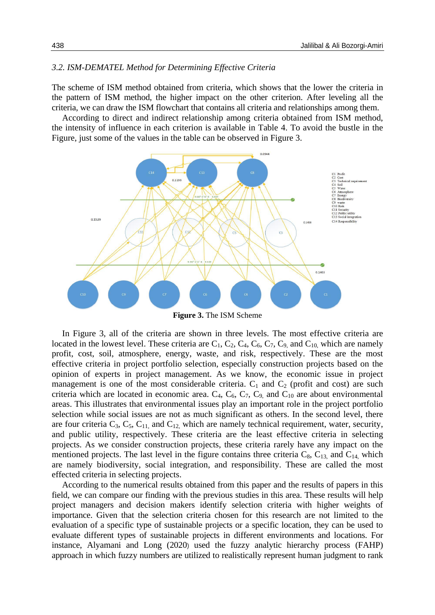## *3.2. ISM-DEMATEL Method for Determining Effective Criteria*

The scheme of ISM method obtained from criteria, which shows that the lower the criteria in the pattern of ISM method, the higher impact on the other criterion. After leveling all the criteria, we can draw the ISM flowchart that contains all criteria and relationships among them.

According to direct and indirect relationship among criteria obtained from ISM method, the intensity of influence in each criterion is available in [Table 4.](#page-8-0) To avoid the bustle in the Figure, just some of the values in the table can be observed in [Figure 3.](#page-13-0)



<span id="page-13-0"></span>In [Figure 3,](#page-13-0) all of the criteria are shown in three levels. The most effective criteria are located in the lowest level. These criteria are  $C_1$ ,  $C_2$ ,  $C_4$ ,  $C_6$ ,  $C_7$ ,  $C_9$  and  $C_{10}$ , which are namely profit, cost, soil, atmosphere, energy, waste, and risk, respectively. These are the most effective criteria in project portfolio selection, especially construction projects based on the opinion of experts in project management. As we know, the economic issue in project management is one of the most considerable criteria.  $C_1$  and  $C_2$  (profit and cost) are such criteria which are located in economic area.  $C_4$ ,  $C_6$ ,  $C_7$ ,  $C_9$  and  $C_{10}$  are about environmental areas. This illustrates that environmental issues play an important role in the project portfolio selection while social issues are not as much significant as others. In the second level, there are four criteria  $C_3$ ,  $C_5$ ,  $C_{11}$ , and  $C_{12}$ , which are namely technical requirement, water, security, and public utility, respectively. These criteria are the least effective criteria in selecting projects. As we consider construction projects, these criteria rarely have any impact on the mentioned projects. The last level in the figure contains three criteria  $C_8$ ,  $C_{13}$ , and  $C_{14}$ , which are namely biodiversity, social integration, and responsibility. These are called the most effected criteria in selecting projects.

According to the numerical results obtained from this paper and the results of papers in this field, we can compare our finding with the previous studies in this area. These results will help project managers and decision makers identify selection criteria with higher weights of importance. Given that the selection criteria chosen for this research are not limited to the evaluation of a specific type of sustainable projects or a specific location, they can be used to evaluate different types of sustainable projects in different environments and locations. For instance, Alyamani and Long (2020) used the fuzzy analytic hierarchy process (FAHP) approach in which fuzzy numbers are utilized to realistically represent human judgment to rank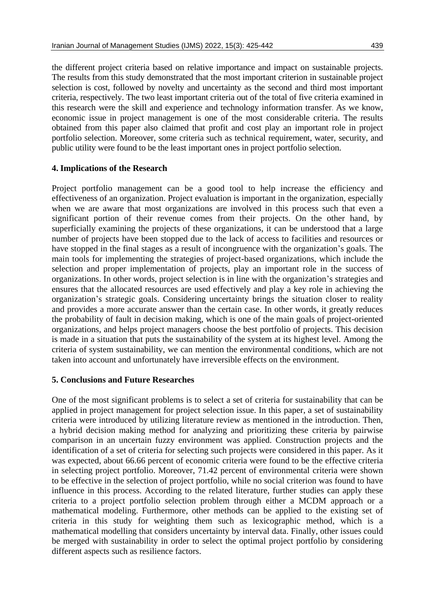the different project criteria based on relative importance and impact on sustainable projects. The results from this study demonstrated that the most important criterion in sustainable project selection is cost, followed by novelty and uncertainty as the second and third most important criteria, respectively. The two least important criteria out of the total of five criteria examined in this research were the skill and experience and technology information transfer. As we know, economic issue in project management is one of the most considerable criteria. The results obtained from this paper also claimed that profit and cost play an important role in project portfolio selection. Moreover, some criteria such as technical requirement, water, security, and public utility were found to be the least important ones in project portfolio selection.

## **4. Implications of the Research**

Project portfolio management can be a good tool to help increase the efficiency and effectiveness of an organization. Project evaluation is important in the organization, especially when we are aware that most organizations are involved in this process such that even a significant portion of their revenue comes from their projects. On the other hand, by superficially examining the projects of these organizations, it can be understood that a large number of projects have been stopped due to the lack of access to facilities and resources or have stopped in the final stages as a result of incongruence with the organization's goals. The main tools for implementing the strategies of project-based organizations, which include the selection and proper implementation of projects, play an important role in the success of organizations. In other words, project selection is in line with the organization's strategies and ensures that the allocated resources are used effectively and play a key role in achieving the organization's strategic goals. Considering uncertainty brings the situation closer to reality and provides a more accurate answer than the certain case. In other words, it greatly reduces the probability of fault in decision making, which is one of the main goals of project-oriented organizations, and helps project managers choose the best portfolio of projects. This decision is made in a situation that puts the sustainability of the system at its highest level. Among the criteria of system sustainability, we can mention the environmental conditions, which are not taken into account and unfortunately have irreversible effects on the environment.

## **5. Conclusions and Future Researches**

One of the most significant problems is to select a set of criteria for sustainability that can be applied in project management for project selection issue. In this paper, a set of sustainability criteria were introduced by utilizing literature review as mentioned in the introduction. Then, a hybrid decision making method for analyzing and prioritizing these criteria by pairwise comparison in an uncertain fuzzy environment was applied. Construction projects and the identification of a set of criteria for selecting such projects were considered in this paper. As it was expected, about 66.66 percent of economic criteria were found to be the effective criteria in selecting project portfolio. Moreover, 71.42 percent of environmental criteria were shown to be effective in the selection of project portfolio, while no social criterion was found to have influence in this process. According to the related literature, further studies can apply these criteria to a project portfolio selection problem through either a MCDM approach or a mathematical modeling. Furthermore, other methods can be applied to the existing set of criteria in this study for weighting them such as lexicographic method, which is a mathematical modelling that considers uncertainty by interval data. Finally, other issues could be merged with sustainability in order to select the optimal project portfolio by considering different aspects such as resilience factors.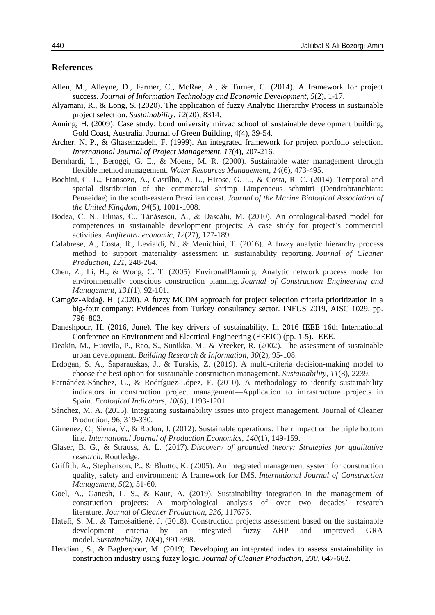## **References**

- Allen, M., Alleyne, D., Farmer, C., McRae, A., & Turner, C. (2014). A framework for project success. *Journal of Information Technology and Economic Development*, *5*(2), 1-17.
- Alyamani, R., & Long, S. (2020). The application of fuzzy Analytic Hierarchy Process in sustainable project selection. *Sustainability*, *12*(20), 8314.
- Anning, H. (2009). Case study: bond university mirvac school of sustainable development building, Gold Coast, Australia. Journal of Green Building, 4(4), 39-54.
- Archer, N. P., & Ghasemzadeh, F. (1999). An integrated framework for project portfolio selection. *International Journal of Project Management*, *17*(4), 207-216.
- Bernhardi, L., Beroggi, G. E., & Moens, M. R. (2000). Sustainable water management through flexible method management. *Water Resources Management*, *14*(6), 473-495.
- Bochini, G. L., Fransozo, A., Castilho, A. L., Hirose, G. L., & Costa, R. C. (2014). Temporal and spatial distribution of the commercial shrimp Litopenaeus schmitti (Dendrobranchiata: Penaeidae) in the south-eastern Brazilian coast. *Journal of the Marine Biological Association of the United Kingdom*, *94*(5), 1001-1008.
- Bodea, C. N., Elmas, C., Tănăsescu, A., & Dascălu, M. (2010). An ontological-based model for competences in sustainable development projects: A case study for project's commercial activities. *Amfiteatru economic*, *12*(27), 177-189.
- Calabrese, A., Costa, R., Levialdi, N., & Menichini, T. (2016). A fuzzy analytic hierarchy process method to support materiality assessment in sustainability reporting. *Journal of Cleaner Production*, *121*, 248-264.
- Chen, Z., Li, H., & Wong, C. T. (2005). EnvironalPlanning: Analytic network process model for environmentally conscious construction planning. *Journal of Construction Engineering and Management*, *131*(1), 92-101.
- Camgöz-Akdağ, H. (2020). A fuzzy MCDM approach for project selection criteria prioritization in a big-four company: Evidences from Turkey consultancy sector. INFUS 2019, AISC 1029, pp. 796–803.
- Daneshpour, H. (2016, June). The key drivers of sustainability. In 2016 IEEE 16th International Conference on Environment and Electrical Engineering (EEEIC) (pp. 1-5). IEEE.
- Deakin, M., Huovila, P., Rao, S., Sunikka, M., & Vreeker, R. (2002). The assessment of sustainable urban development. *Building Research & Information*, *30*(2), 95-108.
- Erdogan, S. A., Šaparauskas, J., & Turskis, Z. (2019). A multi-criteria decision-making model to choose the best option for sustainable construction management. *Sustainability*, *11*(8), 2239.
- Fernández-Sánchez, G., & Rodríguez-López, F. (2010). A methodology to identify sustainability indicators in construction project management—Application to infrastructure projects in Spain. *Ecological Indicators*, *10*(6), 1193-1201.
- Sánchez, M. A. (2015). Integrating sustainability issues into project management. Journal of Cleaner Production, 96, 319-330.
- Gimenez, C., Sierra, V., & Rodon, J. (2012). Sustainable operations: Their impact on the triple bottom line. *International Journal of Production Economics*, *140*(1), 149-159.
- Glaser, B. G., & Strauss, A. L. (2017). *Discovery of grounded theory: Strategies for qualitative research*. Routledge.
- Griffith, A., Stephenson, P., & Bhutto, K. (2005). An integrated management system for construction quality, safety and environment: A framework for IMS. *International Journal of Construction Management*, *5*(2), 51-60.
- Goel, A., Ganesh, L. S., & Kaur, A. (2019). Sustainability integration in the management of construction projects: A morphological analysis of over two decades' research literature. *Journal of Cleaner Production*, *236*, 117676.
- Hatefi, S. M., & Tamošaitienė, J. (2018). Construction projects assessment based on the sustainable development criteria by an integrated fuzzy AHP and improved GRA model. *Sustainability*, *10*(4), 991-998.
- Hendiani, S., & Bagherpour, M. (2019). Developing an integrated index to assess sustainability in construction industry using fuzzy logic. *Journal of Cleaner Production*, *230*, 647-662.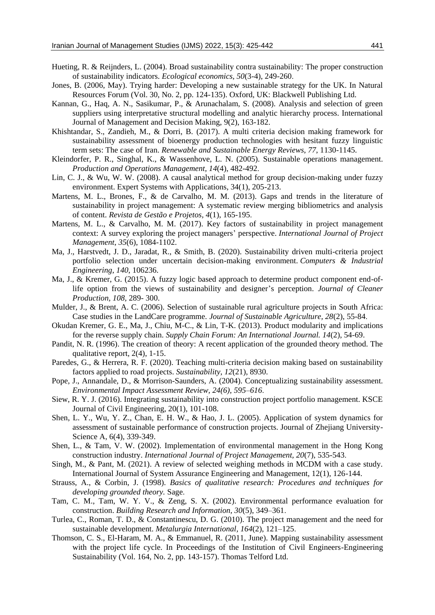- Hueting, R. & Reijnders, L. (2004). Broad sustainability contra sustainability: The proper construction of sustainability indicators. *Ecological economics, 50*(3-4), 249-260.
- Jones, B. (2006, May). Trying harder: Developing a new sustainable strategy for the UK. In Natural Resources Forum (Vol. 30, No. 2, pp. 124-135). Oxford, UK: Blackwell Publishing Ltd.
- Kannan, G., Haq, A. N., Sasikumar, P., & Arunachalam, S. (2008). Analysis and selection of green suppliers using interpretative structural modelling and analytic hierarchy process. International Journal of Management and Decision Making, 9(2), 163-182.
- Khishtandar, S., Zandieh, M., & Dorri, B. (2017). A multi criteria decision making framework for sustainability assessment of bioenergy production technologies with hesitant fuzzy linguistic term sets: The case of Iran. *Renewable and Sustainable Energy Reviews*, *77*, 1130-1145.
- Kleindorfer, P. R., Singhal, K., & Wassenhove, L. N. (2005). Sustainable operations management. *Production and Operations Management, 14*(4), 482-492.
- Lin, C. J., & Wu, W. W. (2008). A causal analytical method for group decision-making under fuzzy environment. Expert Systems with Applications, 34(1), 205-213.
- Martens, M. L., Brones, F., & de Carvalho, M. M. (2013). Gaps and trends in the literature of sustainability in project management: A systematic review merging bibliometrics and analysis of content. *Revista de Gestão e Projetos, 4*(1), 165-195.
- Martens, M. L., & Carvalho, M. M. (2017). Key factors of sustainability in project management context: A survey exploring the project managers' perspective. *International Journal of Project Management*, *35*(6), 1084-1102.
- Ma, J., Harstvedt, J. D., Jaradat, R., & Smith, B. (2020). Sustainability driven multi-criteria project portfolio selection under uncertain decision-making environment. *Computers & Industrial Engineering*, *140*, 106236.
- Ma, J., & Kremer, G. (2015). A fuzzy logic based approach to determine product component end-oflife option from the views of sustainability and designer's perception. *Journal of Cleaner Production, 108,* 289- 300.
- Mulder, J., & Brent, A. C. (2006). Selection of sustainable rural agriculture projects in South Africa: Case studies in the LandCare programme. *Journal of Sustainable Agriculture, 28*(2), 55-84.
- Okudan Kremer, G. E., Ma, J., Chiu, M-C., & Lin, T-K. (2013). Product modularity and implications for the reverse supply chain. *Supply Chain Forum: An International Journal. 14*(2), 54-69.
- Pandit, N. R. (1996). The creation of theory: A recent application of the grounded theory method. The qualitative report, 2(4), 1-15.
- Paredes, G., & Herrera, R. F. (2020). Teaching multi-criteria decision making based on sustainability factors applied to road projects. *Sustainability*, *12*(21), 8930.
- Pope, J., Annandale, D., & Morrison-Saunders, A. (2004). Conceptualizing sustainability assessment. *Environmental Impact Assessment Review, 24(6), 595–616*.
- Siew, R. Y. J. (2016). Integrating sustainability into construction project portfolio management. KSCE Journal of Civil Engineering, 20(1), 101-108.
- Shen, L. Y., Wu, Y. Z., Chan, E. H. W., & Hao, J. L. (2005). Application of system dynamics for assessment of sustainable performance of construction projects. Journal of Zhejiang University-Science A, 6(4), 339-349.
- Shen, L., & Tam, V. W. (2002). Implementation of environmental management in the Hong Kong construction industry. *International Journal of Project Management, 20*(7), 535-543.
- Singh, M., & Pant, M. (2021). A review of selected weighing methods in MCDM with a case study. International Journal of System Assurance Engineering and Management, 12(1), 126-144.
- Strauss, A., & Corbin, J. (1998). *Basics of qualitative research: Procedures and techniques for developing grounded theory.* Sage.
- Tam, C. M., Tam, W. Y. V., & Zeng, S. X. (2002). Environmental performance evaluation for construction. *Building Research and Information, 30*(5), 349–361.
- Turlea, C., Roman, T. D., & Constantinescu, D. G. (2010). The project management and the need for sustainable development. *Metalurgia International, 164*(2), 121–125.
- Thomson, C. S., El-Haram, M. A., & Emmanuel, R. (2011, June). Mapping sustainability assessment with the project life cycle. In Proceedings of the Institution of Civil Engineers-Engineering Sustainability (Vol. 164, No. 2, pp. 143-157). Thomas Telford Ltd.